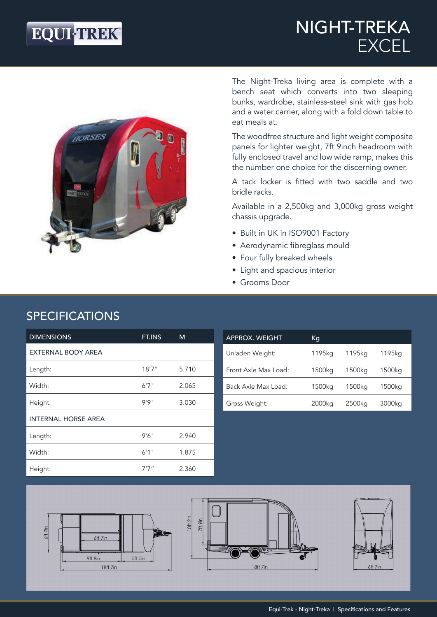## **EQUI-TREK®**

### NIGHT-TREKA EXCEL



The Night-Treka living area is complete with a bench seat which converts into two sleeping bunks, wardrobe, stainless-steel sink with gas hob and a water carrier, along with a fold down table to eat meals at.

The woodfree structure and light weight composite panels for lighter weight, 7ft 9inch headroom with fully enclosed travel and low wide ramp, makes this the number one choice for the discerning owner.

A tack locker is fitted with two saddle and two bridle racks.

Available in a 2,500kg and 3,000kg gross weight chassis upgrade.

- Built in UK in ISO9001 Factory
- Aerodynamic fibreglass mould
- Four fully breaked wheels
- Light and spacious interior
- Grooms Door

| <b>DIMENSIONS</b>          | FT.INS | M     |
|----------------------------|--------|-------|
| <b>EXTERNAL BODY AREA</b>  |        |       |
| Length:                    | 18'7'' | 5.710 |
| Width:                     | 6'7''  | 2.065 |
| Height:                    | 9'9''  | 3.030 |
| <b>INTERNAL HORSE AREA</b> |        |       |
| Length:                    | 9'6''  | 2.940 |
| Width:                     | 6'1''  | 1.875 |
| Height:                    | 7'7"   | 2.360 |

| <b>APPROX. WEIGHT</b> | Кg     |        |        |
|-----------------------|--------|--------|--------|
| Unladen Weight:       | 1195kg | 1195ka | 1195ka |
| Front Axle Max Load:  | 1500kg | 1500kg | 1500kg |
| Back Axle Max Load:   | 1500ka | 1500kg | 1500kg |
| Gross Weight:         | 2000kg | 2500kg | 3000kg |







### SPECIFICATIONS